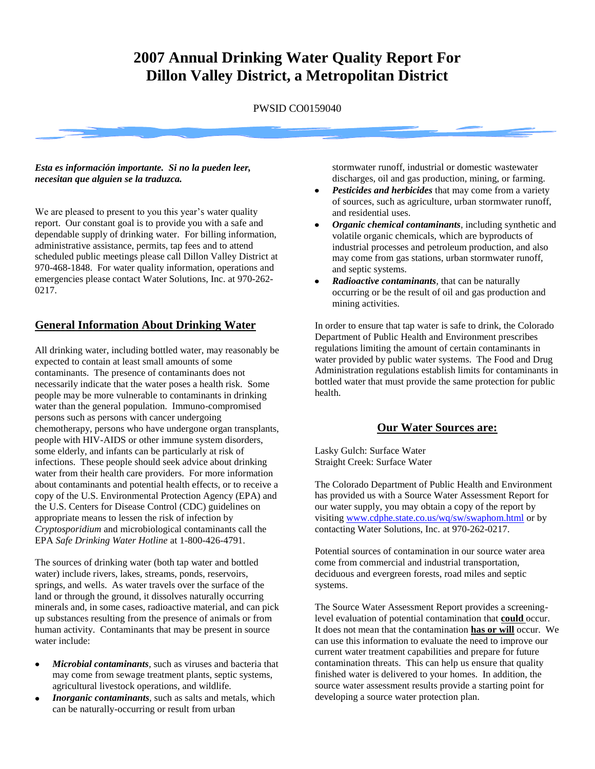# **2007 Annual Drinking Water Quality Report For Dillon Valley District, a Metropolitan District**

PWSID CO0159040

#### *Esta es información importante. Si no la pueden leer, necesitan que alguien se la traduzca.*

We are pleased to present to you this year's water quality report. Our constant goal is to provide you with a safe and dependable supply of drinking water. For billing information, administrative assistance, permits, tap fees and to attend scheduled public meetings please call Dillon Valley District at 970-468-1848. For water quality information, operations and emergencies please contact Water Solutions, Inc. at 970-262- 0217.

#### **General Information About Drinking Water**

All drinking water, including bottled water, may reasonably be expected to contain at least small amounts of some contaminants. The presence of contaminants does not necessarily indicate that the water poses a health risk. Some people may be more vulnerable to contaminants in drinking water than the general population. Immuno-compromised persons such as persons with cancer undergoing chemotherapy, persons who have undergone organ transplants, people with HIV-AIDS or other immune system disorders, some elderly, and infants can be particularly at risk of infections. These people should seek advice about drinking water from their health care providers. For more information about contaminants and potential health effects, or to receive a copy of the U.S. Environmental Protection Agency (EPA) and the U.S. Centers for Disease Control (CDC) guidelines on appropriate means to lessen the risk of infection by *Cryptosporidium* and microbiological contaminants call the EPA *Safe Drinking Water Hotline* at 1-800-426-4791.

The sources of drinking water (both tap water and bottled water) include rivers, lakes, streams, ponds, reservoirs, springs, and wells. As water travels over the surface of the land or through the ground, it dissolves naturally occurring minerals and, in some cases, radioactive material, and can pick up substances resulting from the presence of animals or from human activity. Contaminants that may be present in source water include:

- *Microbial contaminants,* such as viruses and bacteria that may come from sewage treatment plants, septic systems, agricultural livestock operations, and wildlife*.*
- *Inorganic contaminants,* such as salts and metals, which can be naturally-occurring or result from urban

stormwater runoff, industrial or domestic wastewater discharges, oil and gas production, mining, or farming.

- *Pesticides and herbicides* that may come from a variety of sources, such as agriculture, urban stormwater runoff, and residential uses.
- *Organic chemical contaminants,* including synthetic and volatile organic chemicals, which are byproducts of industrial processes and petroleum production, and also may come from gas stations, urban stormwater runoff, and septic systems.
- *Radioactive contaminants,* that can be naturally occurring or be the result of oil and gas production and mining activities.

In order to ensure that tap water is safe to drink, the Colorado Department of Public Health and Environment prescribes regulations limiting the amount of certain contaminants in water provided by public water systems. The Food and Drug Administration regulations establish limits for contaminants in bottled water that must provide the same protection for public health.

#### **Our Water Sources are:**

Lasky Gulch: Surface Water Straight Creek: Surface Water

The Colorado Department of Public Health and Environment has provided us with a Source Water Assessment Report for our water supply, you may obtain a copy of the report by visiting [www.cdphe.state.co.us/wq/sw/swaphom.html](http://www.cdphe.state.co.us/wq/sw/swaphom.html) or by contacting Water Solutions, Inc. at 970-262-0217.

Potential sources of contamination in our source water area come from commercial and industrial transportation, deciduous and evergreen forests, road miles and septic systems.

The Source Water Assessment Report provides a screeninglevel evaluation of potential contamination that **could** occur. It does not mean that the contamination **has or will** occur. We can use this information to evaluate the need to improve our current water treatment capabilities and prepare for future contamination threats. This can help us ensure that quality finished water is delivered to your homes. In addition, the source water assessment results provide a starting point for developing a source water protection plan.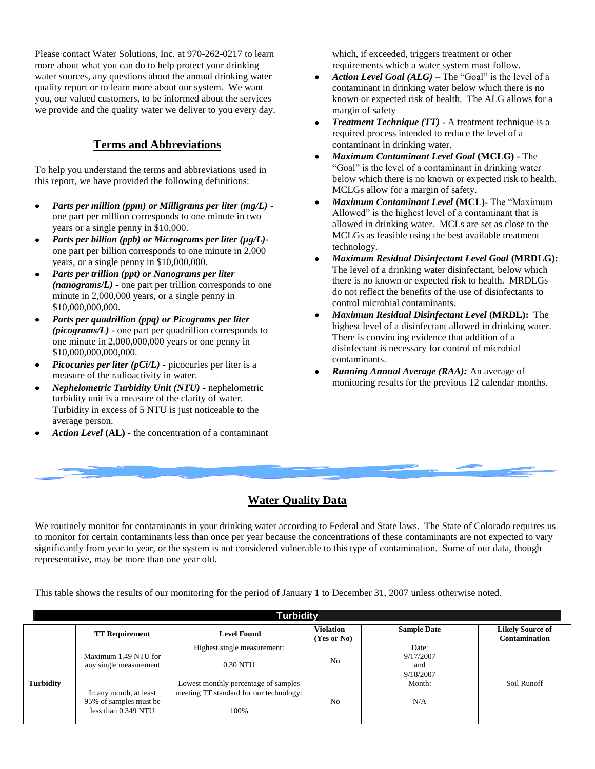Please contact Water Solutions, Inc. at 970-262-0217 to learn more about what you can do to help protect your drinking water sources, any questions about the annual drinking water quality report or to learn more about our system. We want you, our valued customers, to be informed about the services we provide and the quality water we deliver to you every day.

#### **Terms and Abbreviations**

To help you understand the terms and abbreviations used in this report, we have provided the following definitions:

- $\bullet$ *Parts per million (ppm) or Milligrams per liter (mg/L)*  one part per million corresponds to one minute in two years or a single penny in \$10,000.
- *Parts per billion (ppb) or Micrograms per liter (µg/L)* one part per billion corresponds to one minute in 2,000 years, or a single penny in \$10,000,000.
- *Parts per trillion (ppt) or Nanograms per liter (nanograms/L)* **-** one part per trillion corresponds to one minute in 2,000,000 years, or a single penny in \$10,000,000,000.
- *Parts per quadrillion (ppq) or Picograms per liter (picograms/L)* **-** one part per quadrillion corresponds to one minute in 2,000,000,000 years or one penny in \$10,000,000,000,000.
- *Picocuries per liter (pCi/L)* **-** picocuries per liter is a measure of the radioactivity in water.
- *Nephelometric Turbidity Unit (NTU)* **-** nephelometric turbidity unit is a measure of the clarity of water. Turbidity in excess of 5 NTU is just noticeable to the average person.
- *Action Level* **(AL) -** the concentration of a contaminant

which, if exceeded, triggers treatment or other requirements which a water system must follow.

- *Action Level Goal (ALG)* The "Goal" is the level of a  $\bullet$ contaminant in drinking water below which there is no known or expected risk of health. The ALG allows for a margin of safety
- *Treatment Technique (TT)* **-** A treatment technique is a required process intended to reduce the level of a contaminant in drinking water.
- *Maximum Contaminant Level Goal* **(MCLG) -** The "Goal" is the level of a contaminant in drinking water below which there is no known or expected risk to health. MCLGs allow for a margin of safety.
- *Maximum Contaminant Level* **(MCL)-** The "Maximum Allowed" is the highest level of a contaminant that is allowed in drinking water. MCLs are set as close to the MCLGs as feasible using the best available treatment technology.
- *Maximum Residual Disinfectant Level Goal* **(MRDLG):** The level of a drinking water disinfectant, below which there is no known or expected risk to health. MRDLGs do not reflect the benefits of the use of disinfectants to control microbial contaminants.
- *Maximum Residual Disinfectant Level* **(MRDL):** The highest level of a disinfectant allowed in drinking water. There is convincing evidence that addition of a disinfectant is necessary for control of microbial contaminants.
- *Running Annual Average (RAA):* An average of monitoring results for the previous 12 calendar months.

## **Water Quality Data**

We routinely monitor for contaminants in your drinking water according to Federal and State laws. The State of Colorado requires us to monitor for certain contaminants less than once per year because the concentrations of these contaminants are not expected to vary significantly from year to year, or the system is not considered vulnerable to this type of contamination. Some of our data, though representative, may be more than one year old.

This table shows the results of our monitoring for the period of January 1 to December 31, 2007 unless otherwise noted.

| <b>Turbidity</b> |                                                                         |                                                                                         |                                 |                                        |                                          |  |  |  |  |  |
|------------------|-------------------------------------------------------------------------|-----------------------------------------------------------------------------------------|---------------------------------|----------------------------------------|------------------------------------------|--|--|--|--|--|
|                  | <b>TT Requirement</b>                                                   | <b>Level Found</b>                                                                      | <b>Violation</b><br>(Yes or No) | <b>Sample Date</b>                     | <b>Likely Source of</b><br>Contamination |  |  |  |  |  |
|                  | Maximum 1.49 NTU for<br>any single measurement                          | Highest single measurement:<br>0.30 NTU                                                 | N <sub>0</sub>                  | Date:<br>9/17/2007<br>and<br>9/18/2007 |                                          |  |  |  |  |  |
| <b>Turbidity</b> | In any month, at least<br>95% of samples must be<br>less than 0.349 NTU | Lowest monthly percentage of samples<br>meeting TT standard for our technology:<br>100% | No                              | Month:<br>N/A                          | Soil Runoff                              |  |  |  |  |  |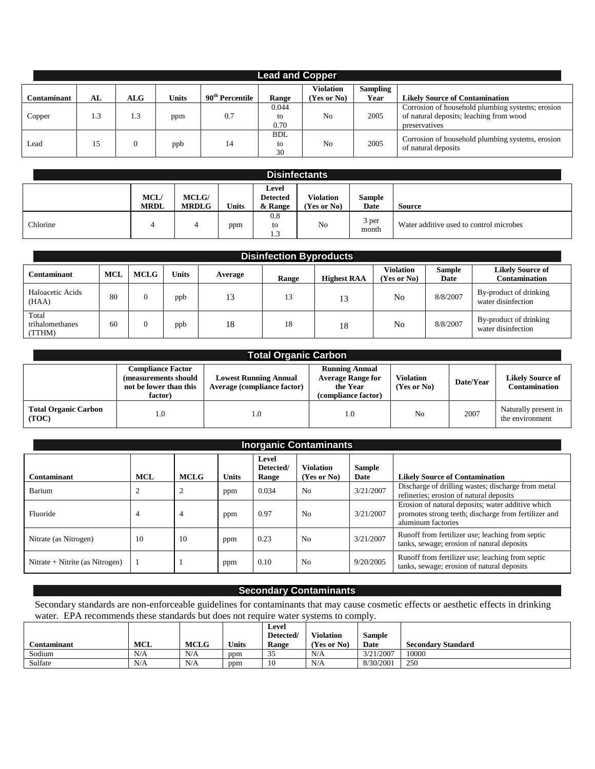| <b>Lead and Copper</b> |     |     |              |                             |                        |                                 |                         |                                                                                                              |  |  |
|------------------------|-----|-----|--------------|-----------------------------|------------------------|---------------------------------|-------------------------|--------------------------------------------------------------------------------------------------------------|--|--|
| <b>Contaminant</b>     | AL  | ALG | <b>Units</b> | 90 <sup>th</sup> Percentile | Range                  | <b>Violation</b><br>(Yes or No) | <b>Sampling</b><br>Year | <b>Likely Source of Contamination</b>                                                                        |  |  |
| Copper                 | 1.3 | 1.3 | ppm          | 0.7                         | 0.044<br>to<br>0.70    | N <sub>0</sub>                  | 2005                    | Corrosion of household plumbing systems; erosion<br>of natural deposits; leaching from wood<br>preservatives |  |  |
| Lead                   | 15  |     | ppb          | 14                          | <b>BDL</b><br>to<br>30 | N <sub>0</sub>                  | 2005                    | Corrosion of household plumbing systems, erosion<br>of natural deposits                                      |  |  |

| <b>Disinfectants</b> |                            |                              |              |                                     |                                 |                       |                                         |  |  |
|----------------------|----------------------------|------------------------------|--------------|-------------------------------------|---------------------------------|-----------------------|-----------------------------------------|--|--|
|                      | <b>MCL/</b><br><b>MRDL</b> | <b>MCLG/</b><br><b>MRDLG</b> | <b>Units</b> | Level<br><b>Detected</b><br>& Range | <b>Violation</b><br>(Yes or No) | Sample<br><b>Date</b> | Source                                  |  |  |
| Chlorine             | 4                          |                              | ppm          | 0.8<br>to<br>1.3                    | No                              | 3 per<br>month        | Water additive used to control microbes |  |  |

| <b>Disinfection Byproducts</b>     |            |             |       |         |       |                    |                          |                |                                              |  |
|------------------------------------|------------|-------------|-------|---------|-------|--------------------|--------------------------|----------------|----------------------------------------------|--|
| <b>Contaminant</b>                 | <b>MCL</b> | <b>MCLG</b> | Units | Average | Range | <b>Highest RAA</b> | Violation<br>(Yes or No) | Sample<br>Date | <b>Likely Source of</b><br>Contamination     |  |
| Haloacetic Acids<br>(HAA)          | 80         | $\Omega$    | ppb   | 13      | 13    | 13<br>⊥⊃           | No                       | 8/8/2007       | By-product of drinking<br>water disinfection |  |
| Total<br>trihalomethanes<br>(TTHM) | 60         | 0           | ppb   | 18      | 18    | 18                 | No                       | 8/8/2007       | By-product of drinking<br>water disinfection |  |

| <b>Total Organic Carbon</b>          |                                                                                       |                                                             |                                                                                      |                                 |           |                                                 |  |  |  |  |
|--------------------------------------|---------------------------------------------------------------------------------------|-------------------------------------------------------------|--------------------------------------------------------------------------------------|---------------------------------|-----------|-------------------------------------------------|--|--|--|--|
|                                      | <b>Compliance Factor</b><br>(measurements should<br>not be lower than this<br>factor) | <b>Lowest Running Annual</b><br>Average (compliance factor) | <b>Running Annual</b><br><b>Average Range for</b><br>the Year<br>(compliance factor) | <b>Violation</b><br>(Yes or No) | Date/Year | <b>Likely Source of</b><br><b>Contamination</b> |  |  |  |  |
| <b>Total Organic Carbon</b><br>(TOC) | 1.0                                                                                   | 0.1                                                         | 1.0                                                                                  | N <sub>0</sub>                  | 2007      | Naturally present in<br>the environment         |  |  |  |  |

| <b>Inorganic Contaminants</b>   |            |             |              |                             |                                 |                       |                                                                                                                                 |  |  |  |
|---------------------------------|------------|-------------|--------------|-----------------------------|---------------------------------|-----------------------|---------------------------------------------------------------------------------------------------------------------------------|--|--|--|
| Contaminant                     | <b>MCL</b> | <b>MCLG</b> | <b>Units</b> | Level<br>Detected/<br>Range | <b>Violation</b><br>(Yes or No) | <b>Sample</b><br>Date | <b>Likely Source of Contamination</b>                                                                                           |  |  |  |
| Barium                          |            | ∠           | ppm          | 0.034                       | N <sub>0</sub>                  | 3/21/2007             | Discharge of drilling wastes; discharge from metal<br>refineries; erosion of natural deposits                                   |  |  |  |
| Fluoride                        |            | 4           | ppm          | 0.97                        | N <sub>0</sub>                  | 3/21/2007             | Erosion of natural deposits; water additive which<br>promotes strong teeth; discharge from fertilizer and<br>aluminum factories |  |  |  |
| Nitrate (as Nitrogen)           | 10         | 10          | ppm          | 0.23                        | No                              | 3/21/2007             | Runoff from fertilizer use; leaching from septic<br>tanks, sewage; erosion of natural deposits                                  |  |  |  |
| Nitrate + Nitrite (as Nitrogen) |            |             | ppm          | 0.10                        | No                              | 9/20/2005             | Runoff from fertilizer use; leaching from septic<br>tanks, sewage; erosion of natural deposits                                  |  |  |  |

# **Secondary Contaminants**

Secondary standards are non-enforceable guidelines for contaminants that may cause cosmetic effects or aesthetic effects in drinking water. EPA recommends these standards but does not require water systems to comply.

|                              |            |             |              | Level       |                  |               |                           |
|------------------------------|------------|-------------|--------------|-------------|------------------|---------------|---------------------------|
|                              |            |             |              | Detected/   | <b>Violation</b> | <b>Sample</b> |                           |
| $\sim$<br><b>Contaminant</b> | <b>MCL</b> | <b>MCLG</b> | <b>Units</b> | Range       | (Yes or No)      | Date          | <b>Secondary Standard</b> |
| Sodium                       | N/A        | N/A         | ppm          | $\sim$<br>ັ | N/A              | 3/21/2007     | 10000                     |
| Sulfate                      | N/A        | N/A         | ppm          | 10          | N/A              | 8/30/2001     | 250                       |